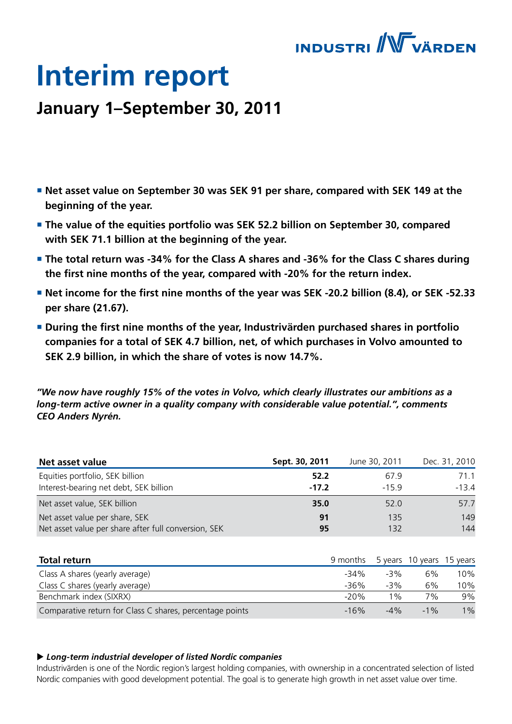

# **Interim report**

## **January 1–September 30, 2011**

- **Net asset value on September 30 was SEK 91 per share, compared with SEK 149 at the beginning of the year.**
- **The value of the equities portfolio was SEK 52.2 billion on September 30, compared with SEK 71.1 billion at the beginning of the year.**
- The total return was -34% for the Class A shares and -36% for the Class C shares during **the first nine months of the year, compared with -20% for the return index.**
- Net income for the first nine months of the year was SEK -20.2 billion (8.4), or SEK -52.33 **per share (21.67).**
- **During the first nine months of the year, Industrivärden purchased shares in portfolio companies for a total of SEK 4.7 billion, net, of which purchases in Volvo amounted to SEK 2.9 billion, in which the share of votes is now 14.7%.**

*"We now have roughly 15% of the votes in Volvo, which clearly illustrates our ambitions as a long-term active owner in a quality company with considerable value potential.", comments CEO Anders Nyrén.*

| Net asset value                                      | Sept. 30, 2011 | June 30, 2011 | Dec. 31, 2010 |
|------------------------------------------------------|----------------|---------------|---------------|
| Equities portfolio, SEK billion                      | 52.2           | 67.9          | 71.1          |
| Interest-bearing net debt, SEK billion               | $-17.2$        | $-15.9$       | $-13.4$       |
| Net asset value, SEK billion                         | 35.0           | 52.0          | 57.7          |
| Net asset value per share, SEK                       | 91             | 135           | 149           |
| Net asset value per share after full conversion, SEK | 95             | 132           | 144           |

| <b>Total return</b>                                      | 9 months |        | 5 years 10 years 15 years |       |
|----------------------------------------------------------|----------|--------|---------------------------|-------|
| Class A shares (yearly average)                          | $-34%$   | $-3%$  | 6%                        | 10%   |
| Class C shares (yearly average)                          | -36%     | $-3%$  | 6%                        | 10%   |
| Benchmark index (SIXRX)                                  | $-20%$   | $1\%$  | 7%                        | 9%    |
| Comparative return for Class C shares, percentage points | $-16%$   | $-4\%$ | $-1\%$                    | $1\%$ |

#### u *Long-term industrial developer of listed Nordic companies*

Industrivärden is one of the Nordic region's largest holding companies, with ownership in a concentrated selection of listed Nordic companies with good development potential. The goal is to generate high growth in net asset value over time.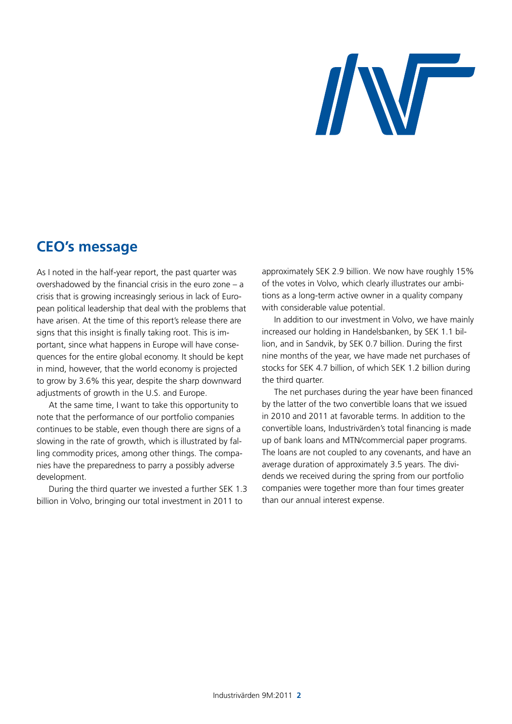

## **CEO's message**

As I noted in the half-year report, the past quarter was overshadowed by the financial crisis in the euro zone – a crisis that is growing increasingly serious in lack of European political leadership that deal with the problems that have arisen. At the time of this report's release there are signs that this insight is finally taking root. This is important, since what happens in Europe will have consequences for the entire global economy. It should be kept in mind, however, that the world economy is projected to grow by 3.6% this year, despite the sharp downward adjustments of growth in the U.S. and Europe.

At the same time, I want to take this opportunity to note that the performance of our portfolio companies continues to be stable, even though there are signs of a slowing in the rate of growth, which is illustrated by falling commodity prices, among other things. The companies have the preparedness to parry a possibly adverse development.

During the third quarter we invested a further SEK 1.3 billion in Volvo, bringing our total investment in 2011 to

approximately SEK 2.9 billion. We now have roughly 15% of the votes in Volvo, which clearly illustrates our ambitions as a long-term active owner in a quality company with considerable value potential.

In addition to our investment in Volvo, we have mainly increased our holding in Handelsbanken, by SEK 1.1 billion, and in Sandvik, by SEK 0.7 billion. During the first nine months of the year, we have made net purchases of stocks for SEK 4.7 billion, of which SEK 1.2 billion during the third quarter.

The net purchases during the year have been financed by the latter of the two convertible loans that we issued in 2010 and 2011 at favorable terms. In addition to the convertible loans, Industrivärden's total financing is made up of bank loans and MTN/commercial paper programs. The loans are not coupled to any covenants, and have an average duration of approximately 3.5 years. The dividends we received during the spring from our portfolio companies were together more than four times greater than our annual interest expense.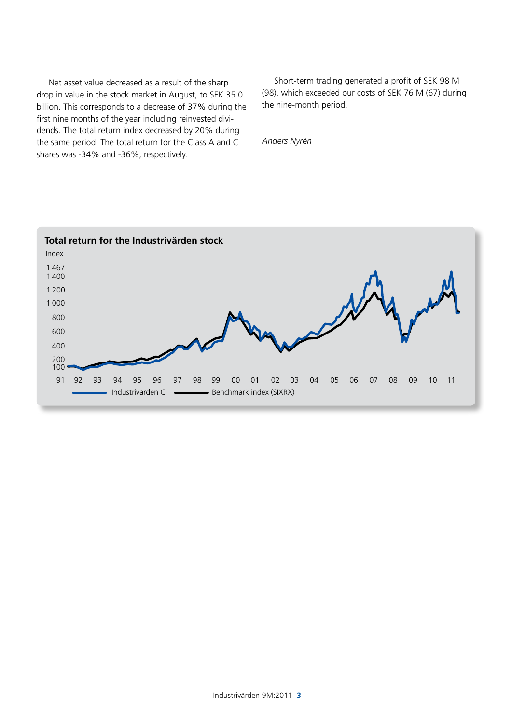Net asset value decreased as a result of the sharp drop in value in the stock market in August, to SEK 35.0 billion. This corresponds to a decrease of 37% during the first nine months of the year including reinvested dividends. The total return index decreased by 20% during the same period. The total return for the Class A and C shares was -34% and -36%, respectively.

Short-term trading generated a profit of SEK 98 M (98), which exceeded our costs of SEK 76 M (67) during the nine-month period.

*Anders Nyrén*

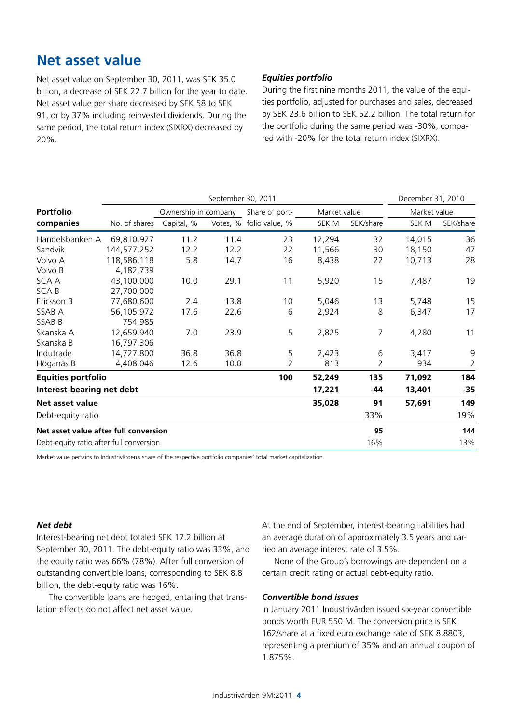## **Net asset value**

Net asset value on September 30, 2011, was SEK 35.0 billion, a decrease of SEK 22.7 billion for the year to date. Net asset value per share decreased by SEK 58 to SEK 91, or by 37% including reinvested dividends. During the same period, the total return index (SIXRX) decreased by 20%.

### *Equities portfolio*

During the first nine months 2011, the value of the equities portfolio, adjusted for purchases and sales, decreased by SEK 23.6 billion to SEK 52.2 billion. The total return for the portfolio during the same period was -30%, compared with -20% for the total return index (SIXRX).

|                                         |                      | September 30, 2011 |          |                |              | December 31, 2010 |              |                |
|-----------------------------------------|----------------------|--------------------|----------|----------------|--------------|-------------------|--------------|----------------|
| <b>Portfolio</b>                        | Ownership in company |                    |          | Share of port- | Market value |                   | Market value |                |
| companies                               | No. of shares        | Capital, %         | Votes, % | folio value, % | SEK M        | SEK/share         | SEK M        | SEK/share      |
| Handelsbanken A                         | 69,810,927           | 11.2               | 11.4     | 23             | 12,294       | 32                | 14,015       | 36             |
| Sandvik                                 | 144,577,252          | 12.2               | 12.2     | 22             | 11,566       | 30                | 18,150       | 47             |
| Volvo A                                 | 118,586,118          | 5.8                | 14.7     | 16             | 8,438        | 22                | 10,713       | 28             |
| Volvo B                                 | 4,182,739            |                    |          |                |              |                   |              |                |
| SCA A                                   | 43,100,000           | 10.0               | 29.1     | 11             | 5,920        | 15                | 7,487        | 19             |
| <b>SCAB</b>                             | 27,700,000           |                    |          |                |              |                   |              |                |
| Ericsson B                              | 77,680,600           | 2.4                | 13.8     | 10             | 5,046        | 13                | 5,748        | 15             |
| SSAB A                                  | 56,105,972           | 17.6               | 22.6     | 6              | 2,924        | 8                 | 6,347        | 17             |
| SSAB B                                  | 754,985              |                    |          |                |              |                   |              |                |
| Skanska A                               | 12,659,940           | 7.0                | 23.9     | 5              | 2,825        | 7                 | 4,280        | 11             |
| Skanska B                               | 16,797,306           |                    |          |                |              |                   |              |                |
| Indutrade                               | 14,727,800           | 36.8               | 36.8     | 5              | 2,423        | 6                 | 3,417        | $9$            |
| Höganäs B                               | 4,408,046            | 12.6               | 10.0     | 2              | 813          | 2                 | 934          | $\overline{2}$ |
| <b>Equities portfolio</b>               |                      |                    |          | 100            | 52,249       | 135               | 71,092       | 184            |
| Interest-bearing net debt               |                      |                    |          |                | 17,221       | -44               | 13,401       | $-35$          |
| Net asset value                         |                      |                    |          |                | 35,028       | 91                | 57,691       | 149            |
| Debt-equity ratio                       |                      |                    |          |                |              | 33%               |              | 19%            |
| Net asset value after full conversion   |                      |                    |          |                |              | 95                |              | 144            |
| Debt-equity ratio after full conversion |                      |                    |          |                |              | 16%               |              | 13%            |

Market value pertains to Industrivärden's share of the respective portfolio companies' total market capitalization.

#### *Net debt*

Interest-bearing net debt totaled SEK 17.2 billion at September 30, 2011. The debt-equity ratio was 33%, and the equity ratio was 66% (78%). After full conversion of outstanding convertible loans, corresponding to SEK 8.8 billion, the debt-equity ratio was 16%.

The convertible loans are hedged, entailing that translation effects do not affect net asset value.

At the end of September, interest-bearing liabilities had an average duration of approximately 3.5 years and carried an average interest rate of 3.5%.

None of the Group's borrowings are dependent on a certain credit rating or actual debt-equity ratio.

### *Convertible bond issues*

In January 2011 Industrivärden issued six-year convertible bonds worth EUR 550 M. The conversion price is SEK 162/share at a fixed euro exchange rate of SEK 8.8803, representing a premium of 35% and an annual coupon of 1.875%.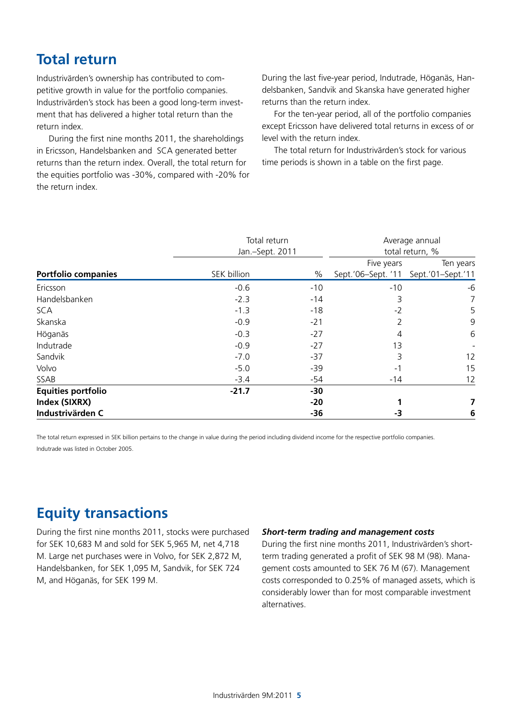## **Total return**

Industrivärden's ownership has contributed to competitive growth in value for the portfolio companies. Industrivärden's stock has been a good long-term investment that has delivered a higher total return than the return index.

During the first nine months 2011, the shareholdings in Ericsson, Handelsbanken and SCA generated better returns than the return index. Overall, the total return for the equities portfolio was -30%, compared with -20% for the return index.

During the last five-year period, Indutrade, Höganäs, Handelsbanken, Sandvik and Skanska have generated higher returns than the return index.

For the ten-year period, all of the portfolio companies except Ericsson have delivered total returns in excess of or level with the return index.

The total return for Industrivärden's stock for various time periods is shown in a table on the first page.

|                            | Total return<br>Jan.-Sept. 2011 |       | Average annual<br>total return, % |                   |
|----------------------------|---------------------------------|-------|-----------------------------------|-------------------|
|                            |                                 |       | Five years                        | Ten years         |
| <b>Portfolio companies</b> | SEK billion                     | $\%$  | Sept.'06-Sept. '11                | Sept.'01-Sept.'11 |
| Ericsson                   | $-0.6$                          | $-10$ | $-10$                             | $-6$              |
| Handelsbanken              | $-2.3$                          | $-14$ | 3                                 | 7                 |
| <b>SCA</b>                 | $-1.3$                          | $-18$ | $-2$                              | 5                 |
| Skanska                    | $-0.9$                          | $-21$ |                                   | 9                 |
| Höganäs                    | $-0.3$                          | $-27$ | 4                                 | 6                 |
| Indutrade                  | $-0.9$                          | $-27$ | 13                                |                   |
| Sandvik                    | $-7.0$                          | $-37$ | 3                                 | 12                |
| Volvo                      | $-5.0$                          | $-39$ | -1                                | 15                |
| SSAB                       | $-3.4$                          | $-54$ | -14                               | 12                |
| <b>Equities portfolio</b>  | $-21.7$                         | $-30$ |                                   |                   |
| Index (SIXRX)              |                                 | $-20$ |                                   |                   |
| Industrivärden C           |                                 | $-36$ | -3                                | 6                 |

The total return expressed in SEK billion pertains to the change in value during the period including dividend income for the respective portfolio companies. Indutrade was listed in October 2005.

## **Equity transactions**

During the first nine months 2011, stocks were purchased for SEK 10,683 M and sold for SEK 5,965 M, net 4,718 M. Large net purchases were in Volvo, for SEK 2,872 M, Handelsbanken, for SEK 1,095 M, Sandvik, for SEK 724 M, and Höganäs, for SEK 199 M.

#### *Short-term trading and management costs*

During the first nine months 2011, Industrivärden's shortterm trading generated a profit of SEK 98 M (98). Management costs amounted to SEK 76 M (67). Management costs corresponded to 0.25% of managed assets, which is considerably lower than for most comparable investment alternatives.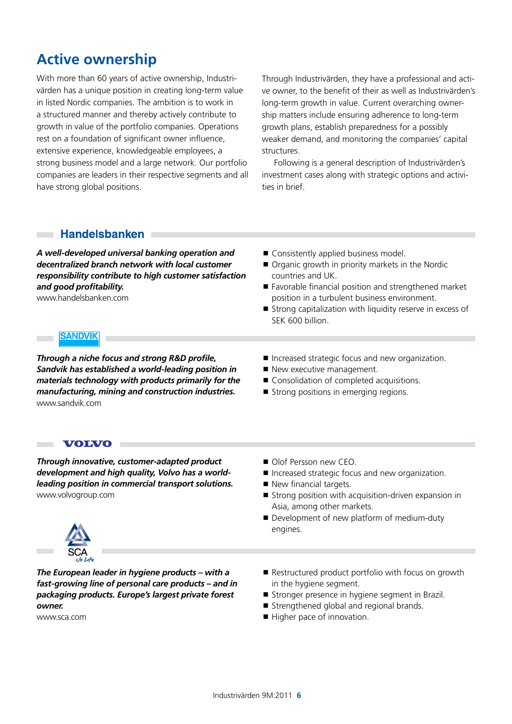## **Active ownership**

With more than 60 years of active ownership, Industrivärden has a unique position in creating long-term value in listed Nordic companies. The ambition is to work in a structured manner and thereby actively contribute to growth in value of the portfolio companies. Operations rest on a foundation of significant owner influence, extensive experience, knowledgeable employees, a strong business model and a large network. Our portfolio companies are leaders in their respective segments and all have strong global positions.

Through Industrivärden, they have a professional and active owner, to the benefit of their as well as Industrivärden's long-term growth in value. Current overarching ownership matters include ensuring adherence to long-term growth plans, establish preparedness for a possibly weaker demand, and monitoring the companies' capital structures.

Following is a general description of Industrivärden's investment cases along with strategic options and activities in brief.

## **Handelsbanken**

*A well-developed universal banking operation and decentralized branch network with local customer responsibility contribute to high customer satisfaction and good profitability.*

www.handelsbanken.com

- Consistently applied business model.
- Organic growth in priority markets in the Nordic countries and UK.
- Favorable financial position and strengthened market position in a turbulent business environment.
- Strong capitalization with liquidity reserve in excess of SEK 600 billion.

## **SANDVIK**

*Through a niche focus and strong R&D profile, Sandvik has established a world-leading position in materials technology with products primarily for the manufacturing, mining and construction industries.* www.sandvik.com

- Increased strategic focus and new organization.
- New executive management.
- Consolidation of completed acquisitions.
- Strong positions in emerging regions.

#### **VOLVO**

*Through innovative, customer-adapted product development and high quality, Volvo has a worldleading position in commercial transport solutions.*  www.volvogroup.com

- Olof Persson new CEO.
- Increased strategic focus and new organization.
- New financial targets.
- $\blacksquare$  Strong position with acquisition-driven expansion in Asia, among other markets.
- Development of new platform of medium-duty engines.

*The European leader in hygiene products – with a fast-growing line of personal care products – and in packaging products. Europe's largest private forest owner.*

```
www.sca.com
```
- Restructured product portfolio with focus on growth in the hygiene segment.
- Stronger presence in hygiene segment in Brazil.
- Strengthened global and regional brands.
- Higher pace of innovation.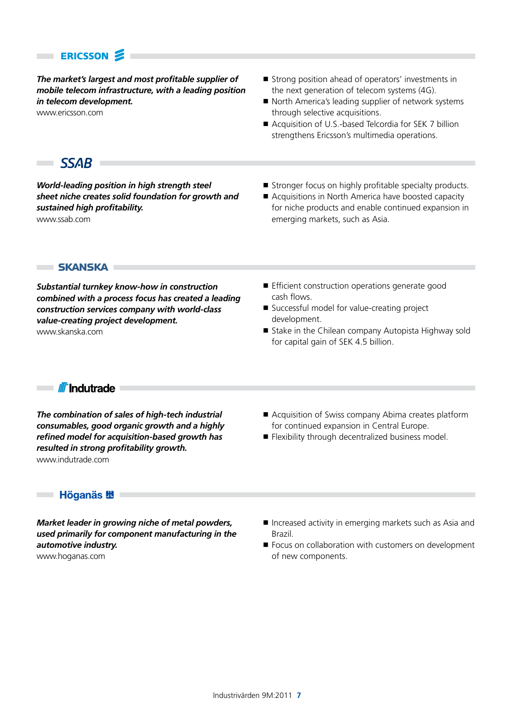## **ERICSSON**

*The market's largest and most profitable supplier of mobile telecom infrastructure, with a leading position in telecom development.* 

www.ericsson.com

- Strong position ahead of operators' investments in the next generation of telecom systems (4G).
- North America's leading supplier of network systems through selective acquisitions.
- Acquisition of U.S.-based Telcordia for SEK 7 billion strengthens Ericsson's multimedia operations.

## SSAB **E**

×

*World-leading position in high strength steel sheet niche creates solid foundation for growth and sustained high profitability.* www.ssab.com

- Stronger focus on highly profitable specialty products.
- Acquisitions in North America have boosted capacity for niche products and enable continued expansion in emerging markets, such as Asia.

**SKANSKA F** 

*Substantial turnkey know-how in construction combined with a process focus has created a leading construction services company with world-class value-creating project development.* www.skanska.com

- **Efficient construction operations generate good** cash flows.
- Successful model for value-creating project development.
- Stake in the Chilean company Autopista Highway sold for capital gain of SEK 4.5 billion.

**I** *I* Indutrade

*The combination of sales of high-tech industrial consumables, good organic growth and a highly refined model for acquisition-based growth has resulted in strong profitability growth.* www.indutrade.com

- Acquisition of Swiss company Abima creates platform for continued expansion in Central Europe.
- Flexibility through decentralized business model.

**Höganäs**  $H$ 

*Market leader in growing niche of metal powders, used primarily for component manufacturing in the automotive industry.* www.hoganas.com

- $\blacksquare$  Increased activity in emerging markets such as Asia and Brazil.
- Focus on collaboration with customers on development of new components.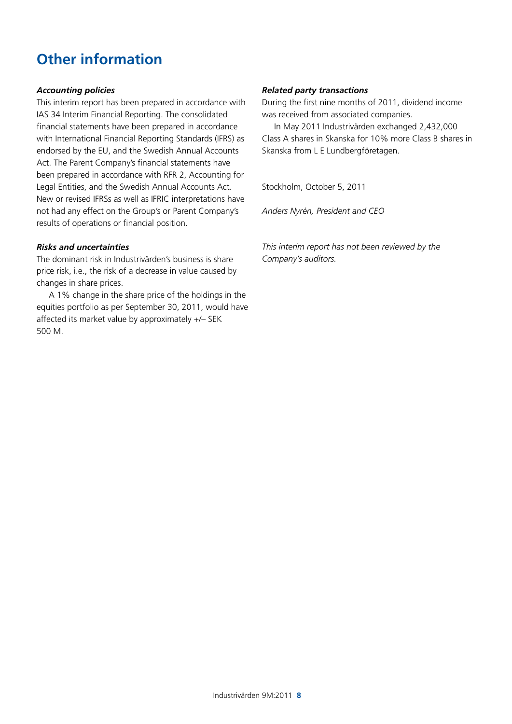## **Other information**

### *Accounting policies*

This interim report has been prepared in accordance with IAS 34 Interim Financial Reporting. The consolidated financial statements have been prepared in accordance with International Financial Reporting Standards (IFRS) as endorsed by the EU, and the Swedish Annual Accounts Act. The Parent Company's financial statements have been prepared in accordance with RFR 2, Accounting for Legal Entities, and the Swedish Annual Accounts Act. New or revised IFRSs as well as IFRIC interpretations have not had any effect on the Group's or Parent Company's results of operations or financial position.

### *Risks and uncertainties*

The dominant risk in Industrivärden's business is share price risk, i.e., the risk of a decrease in value caused by changes in share prices.

A 1% change in the share price of the holdings in the equities portfolio as per September 30, 2011, would have affected its market value by approximately +/– SEK 500 M.

### *Related party transactions*

During the first nine months of 2011, dividend income was received from associated companies.

In May 2011 Industrivärden exchanged 2,432,000 Class A shares in Skanska for 10% more Class B shares in Skanska from L E Lundbergföretagen.

Stockholm, October 5, 2011

*Anders Nyrén, President and CEO*

*This interim report has not been reviewed by the Company's auditors.*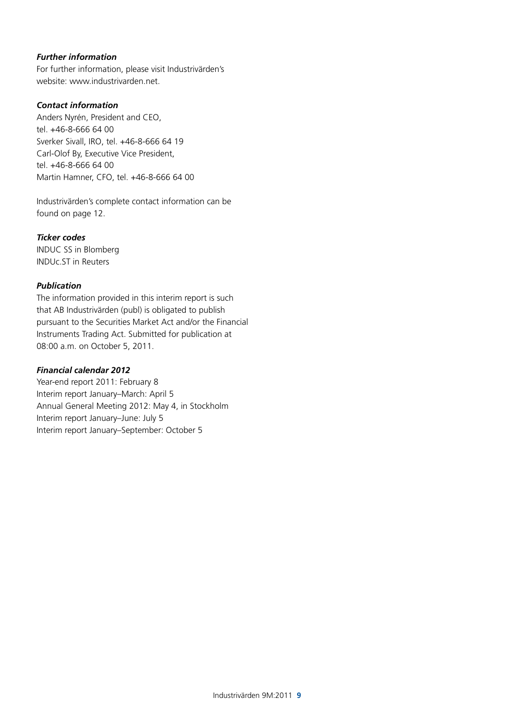## *Further information*

For further information, please visit Industrivärden's website: www.industrivarden.net.

### *Contact information*

Anders Nyrén, President and CEO, tel. +46-8-666 64 00 Sverker Sivall, IRO, tel. +46-8-666 64 19 Carl-Olof By, Executive Vice President, tel. +46-8-666 64 00 Martin Hamner, CFO, tel. +46-8-666 64 00

Industrivärden's complete contact information can be found on page 12.

### *Ticker codes*

INDUC SS in Blomberg INDUc.ST in Reuters

## *Publication*

The information provided in this interim report is such that AB Industrivärden (publ) is obligated to publish pursuant to the Securities Market Act and/or the Financial Instruments Trading Act. Submitted for publication at 08:00 a.m. on October 5, 2011.

## *Financial calendar 2012*

Year-end report 2011: February 8 Interim report January–March: April 5 Annual General Meeting 2012: May 4, in Stockholm Interim report January–June: July 5 Interim report January–September: October 5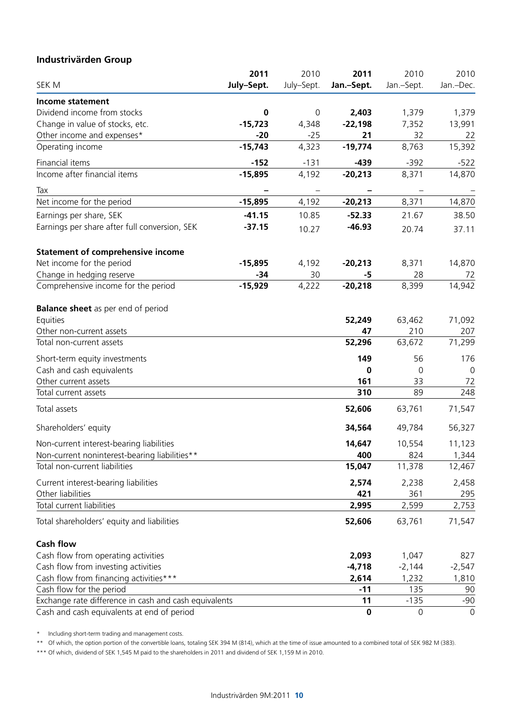## **Industrivärden Group**

|                                                           | 2011       | 2010       | 2011       | 2010                | 2010        |
|-----------------------------------------------------------|------------|------------|------------|---------------------|-------------|
| SEK M                                                     | July-Sept. | July-Sept. | Jan.-Sept. | Jan.-Sept.          | Jan.-Dec.   |
| Income statement                                          |            |            |            |                     |             |
| Dividend income from stocks                               | $\pmb{0}$  | 0          | 2,403      | 1,379               | 1,379       |
| Change in value of stocks, etc.                           | $-15,723$  | 4,348      | $-22,198$  | 7,352               | 13,991      |
| Other income and expenses*                                | $-20$      | $-25$      | 21         | 32                  | 22          |
| Operating income                                          | $-15,743$  | 4,323      | $-19,774$  | 8,763               | 15,392      |
| Financial items                                           | $-152$     | $-131$     | $-439$     | $-392$              | $-522$      |
| Income after financial items                              | $-15,895$  | 4,192      | $-20,213$  | 8,371               | 14,870      |
|                                                           |            |            |            |                     |             |
| Tax<br>Net income for the period                          | $-15,895$  | 4,192      | $-20,213$  | 8,371               | 14,870      |
|                                                           |            |            |            |                     |             |
| Earnings per share, SEK                                   | $-41.15$   | 10.85      | $-52.33$   | 21.67               | 38.50       |
| Earnings per share after full conversion, SEK             | $-37.15$   | 10.27      | $-46.93$   | 20.74               | 37.11       |
| <b>Statement of comprehensive income</b>                  |            |            |            |                     |             |
| Net income for the period                                 | $-15,895$  | 4,192      | $-20,213$  | 8,371               | 14,870      |
| Change in hedging reserve                                 | -34        | 30         | -5         | 28                  | 72          |
| Comprehensive income for the period                       | $-15,929$  | 4,222      | $-20,218$  | 8,399               | 14,942      |
| <b>Balance sheet</b> as per end of period                 |            |            |            |                     |             |
| Equities                                                  |            |            | 52,249     | 63,462              | 71,092      |
| Other non-current assets                                  |            |            | 47         | 210                 | 207         |
| Total non-current assets                                  |            |            | 52,296     | 63,672              | 71,299      |
| Short-term equity investments                             |            |            | 149        | 56                  | 176         |
| Cash and cash equivalents                                 |            |            | 0          | 0                   | $\Omega$    |
| Other current assets                                      |            |            | 161        | 33                  | 72          |
| Total current assets                                      |            |            | 310        | 89                  | 248         |
| Total assets                                              |            |            | 52,606     | 63,761              | 71,547      |
| Shareholders' equity                                      |            |            | 34,564     | 49,784              | 56,327      |
| Non-current interest-bearing liabilities                  |            |            | 14,647     | 10,554              | 11,123      |
| Non-current noninterest-bearing liabilities**             |            |            | 400        | 824                 | 1,344       |
| Total non-current liabilities                             |            |            | 15,047     | 11,378              | 12,467      |
|                                                           |            |            | 2,574      | 2,238               | 2,458       |
| Current interest-bearing liabilities<br>Other liabilities |            |            | 421        | 361                 | 295         |
| Total current liabilities                                 |            |            | 2,995      | 2,599               | 2,753       |
| Total shareholders' equity and liabilities                |            |            | 52,606     | 63,761              | 71,547      |
|                                                           |            |            |            |                     |             |
| <b>Cash flow</b>                                          |            |            |            |                     |             |
| Cash flow from operating activities                       |            |            | 2,093      | 1,047               | 827         |
| Cash flow from investing activities                       |            |            | $-4,718$   | $-2,144$            | $-2,547$    |
| Cash flow from financing activities***                    |            |            | 2,614      | 1,232               | 1,810       |
| Cash flow for the period                                  |            |            | $-11$      | 135                 | 90          |
| Exchange rate difference in cash and cash equivalents     |            |            | 11         | $-135$              | $-90$       |
| Cash and cash equivalents at end of period                |            |            | $\bf{0}$   | $\mathsf{O}\xspace$ | $\mathbf 0$ |

\* Including short-term trading and management costs.

\*\* Of which, the option portion of the convertible loans, totaling SEK 394 M (814), which at the time of issue amounted to a combined total of SEK 982 M (383).

\*\*\* Of which, dividend of SEK 1,545 M paid to the shareholders in 2011 and dividend of SEK 1,159 M in 2010.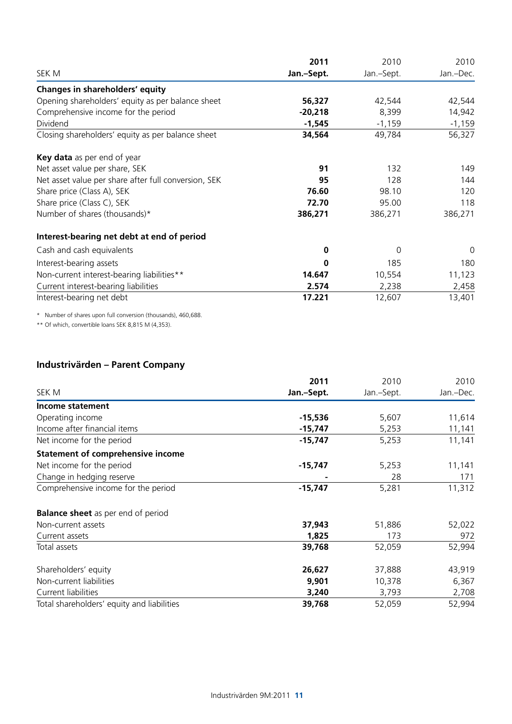|                                                      | 2011        | 2010       | 2010      |
|------------------------------------------------------|-------------|------------|-----------|
| SEK M                                                | Jan.-Sept.  | Jan.-Sept. | Jan.-Dec. |
| Changes in shareholders' equity                      |             |            |           |
| Opening shareholders' equity as per balance sheet    | 56,327      | 42,544     | 42,544    |
| Comprehensive income for the period                  | $-20,218$   | 8,399      | 14,942    |
| Dividend                                             | $-1,545$    | $-1,159$   | $-1,159$  |
| Closing shareholders' equity as per balance sheet    | 34,564      | 49,784     | 56,327    |
| Key data as per end of year                          |             |            |           |
| Net asset value per share, SEK                       | 91          | 132        | 149       |
| Net asset value per share after full conversion, SEK | 95          | 128        | 144       |
| Share price (Class A), SEK                           | 76.60       | 98.10      | 120       |
| Share price (Class C), SEK                           | 72.70       | 95.00      | 118       |
| Number of shares (thousands)*                        | 386,271     | 386,271    | 386,271   |
| Interest-bearing net debt at end of period           |             |            |           |
| Cash and cash equivalents                            | $\mathbf 0$ | 0          | 0         |
| Interest-bearing assets                              | $\bf{0}$    | 185        | 180       |
| Non-current interest-bearing liabilities**           | 14.647      | 10,554     | 11,123    |
| Current interest-bearing liabilities                 | 2.574       | 2,238      | 2,458     |
| Interest-bearing net debt                            | 17.221      | 12,607     | 13,401    |

\* Number of shares upon full conversion (thousands), 460,688.

\*\* Of which, convertible loans SEK 8,815 M (4,353).

## **Industrivärden – Parent Company**

|                                            | 2011       | 2010       | 2010      |
|--------------------------------------------|------------|------------|-----------|
| SEK M                                      | Jan.-Sept. | Jan.-Sept. | Jan.-Dec. |
| Income statement                           |            |            |           |
| Operating income                           | $-15,536$  | 5,607      | 11,614    |
| Income after financial items               | $-15,747$  | 5,253      | 11,141    |
| Net income for the period                  | $-15,747$  | 5,253      | 11,141    |
| <b>Statement of comprehensive income</b>   |            |            |           |
| Net income for the period                  | $-15,747$  | 5,253      | 11,141    |
| Change in hedging reserve                  |            | 28         | 171       |
| Comprehensive income for the period        | $-15,747$  | 5,281      | 11,312    |
| <b>Balance sheet</b> as per end of period  |            |            |           |
| Non-current assets                         | 37,943     | 51,886     | 52,022    |
| Current assets                             | 1,825      | 173        | 972       |
| Total assets                               | 39,768     | 52,059     | 52,994    |
| Shareholders' equity                       | 26,627     | 37,888     | 43,919    |
| Non-current liabilities                    | 9,901      | 10,378     | 6,367     |
| Current liabilities                        | 3,240      | 3,793      | 2,708     |
| Total shareholders' equity and liabilities | 39,768     | 52,059     | 52,994    |